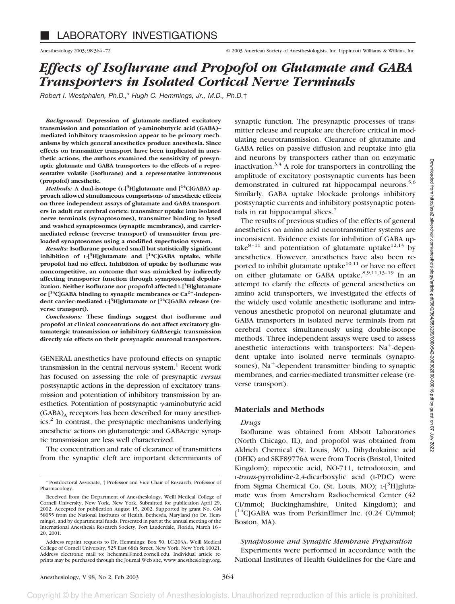# *Effects of Isoflurane and Propofol on Glutamate and GABA Transporters in Isolated Cortical Nerve Terminals*

*Robert I. Westphalen, Ph.D.,*\* *Hugh C. Hemmings, Jr., M.D., Ph.D.*†

*Background:* **Depression of glutamate-mediated excitatory** transmission and potentiation of γ-aminobutyric acid (GABA)– **mediated inhibitory transmission appear to be primary mechanisms by which general anesthetics produce anesthesia. Since effects on transmitter transport have been implicated in anesthetic actions, the authors examined the sensitivity of presynaptic glutamate and GABA transporters to the effects of a representative volatile (isoflurane) and a representative intravenous (propofol) anesthetic.**

*Methods:* A dual-isotope (L-[<sup>3</sup>H]glutamate and [<sup>14</sup>C]GABA) ap**proach allowed simultaneous comparisons of anesthetic effects on three independent assays of glutamate and GABA transporters in adult rat cerebral cortex: transmitter uptake into isolated nerve terminals (synaptosomes), transmitter binding to lysed and washed synaptosomes (synaptic membranes), and carriermediated release (reverse transport) of transmitter from preloaded synaptosomes using a modified superfusion system.**

*Results:* **Isoflurane produced small but statistically significant inhibition of L-[3 H]glutamate and [14C]GABA uptake, while propofol had no effect. Inhibition of uptake by isoflurane was noncompetitive, an outcome that was mimicked by indirectly affecting transporter function through synaptosomal depolarization. Neither isoflurane nor propofol affected L-[3 H]glutamate** or [<sup>14</sup>C]GABA binding to synaptic membranes or Ca<sup>2+</sup>-indepen**dent carrier-mediated L-[3 H]glutamate or [14C]GABA release (reverse transport).**

*Conclusions:* **These findings suggest that isoflurane and propofol at clinical concentrations do not affect excitatory glutamatergic transmission or inhibitory GABAergic transmission directly** *via* **effects on their presynaptic neuronal transporters.**

GENERAL anesthetics have profound effects on synaptic transmission in the central nervous system. $<sup>1</sup>$  Recent work</sup> has focused on assessing the role of presynaptic *versus* postsynaptic actions in the depression of excitatory transmission and potentiation of inhibitory transmission by anesthetics. Potentiation of postsynaptic  $\gamma$ aminobutyric acid  $(GABA)_A$  receptors has been described for many anesthetics.2 In contrast, the presynaptic mechanisms underlying anesthetic actions on glutamatergic and GABAergic synaptic transmission are less well characterized.

The concentration and rate of clearance of transmitters from the synaptic cleft are important determinants of synaptic function. The presynaptic processes of transmitter release and reuptake are therefore critical in modulating neurotransmission. Clearance of glutamate and GABA relies on passive diffusion and reuptake into glia and neurons by transporters rather than on enzymatic inactivation.<sup>3,4</sup> A role for transporters in controlling the amplitude of excitatory postsynaptic currents has been demonstrated in cultured rat hippocampal neurons.<sup>5,6</sup> Similarly, GABA uptake blockade prolongs inhibitory postsynaptic currents and inhibitory postsynaptic potentials in rat hippocampal slices. $<sup>7</sup>$ </sup>

The results of previous studies of the effects of general anesthetics on amino acid neurotransmitter systems are inconsistent. Evidence exists for inhibition of GABA uptake<sup>8-11</sup> and potentiation of glutamate uptake<sup>12,13</sup> by anesthetics. However, anesthetics have also been reported to inhibit glutamate uptake $^{10,11}$  or have no effect on either glutamate or GABA uptake.<sup>8,9,11,13-19</sup> In an attempt to clarify the effects of general anesthetics on amino acid transporters, we investigated the effects of the widely used volatile anesthetic isoflurane and intravenous anesthetic propofol on neuronal glutamate and GABA transporters in isolated nerve terminals from rat cerebral cortex simultaneously using double-isotope methods. Three independent assays were used to assess anesthetic interactions with transporters:  $Na<sup>+</sup>$ -dependent uptake into isolated nerve terminals (synaptosomes), Na<sup>+</sup>-dependent transmitter binding to synaptic membranes, and carrier-mediated transmitter release (reverse transport).

# **Materials and Methods**

#### *Drugs*

Isoflurane was obtained from Abbott Laboratories (North Chicago, IL), and propofol was obtained from Aldrich Chemical (St. Louis, MO). Dihydrokainic acid (DHK) and SKF89776A were from Tocris (Bristol, United Kingdom); nipecotic acid, NO-711, tetrodotoxin, and L-*trans*-pyrrolidine-2,4-dicarboxylic acid (t-PDC) were from Sigma Chemical Co. (St. Louis, MO); L-[<sup>3</sup>H]glutamate was from Amersham Radiochemical Center (42 Ci/mmol; Buckinghamshire, United Kingdom); and [<sup>14</sup>C]GABA was from PerkinElmer Inc. (0.24 Ci/mmol; Boston, MA).

*Synaptosome and Synaptic Membrane Preparation* Experiments were performed in accordance with the National Institutes of Health Guidelines for the Care and

<sup>\*</sup> Postdoctoral Associate, † Professor and Vice Chair of Research, Professor of Pharmacology.

Received from the Department of Anesthesiology, Weill Medical College of Cornell University, New York, New York. Submitted for publication April 29, 2002. Accepted for publication August 15, 2002. Supported by grant No. GM 58055 from the National Institutes of Health, Bethesda, Maryland (to Dr. Hemmings), and by departmental funds. Presented in part at the annual meeting of the International Anesthesia Research Society, Fort Lauderdale, Florida, March 16– 20, 2001.

Address reprint requests to Dr. Hemmings: Box 50, LC-203A, Weill Medical College of Cornell University, 525 East 68th Street, New York, New York 10021. Address electronic mail to: hchemmi@med.cornell.edu. Individual article reprints may be purchased through the Journal Web site, www.anesthesiology.org.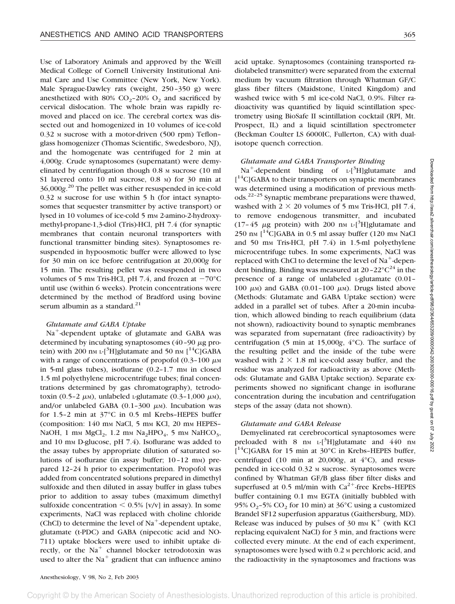Use of Laboratory Animals and approved by the Weill Medical College of Cornell University Institutional Animal Care and Use Committee (New York, New York). Male Sprague-Dawley rats (weight, 250–350 g) were anesthetized with 80%  $CO<sub>2</sub>$ –20%  $O<sub>2</sub>$  and sacrificed by cervical dislocation. The whole brain was rapidly removed and placed on ice. The cerebral cortex was dissected out and homogenized in 10 volumes of ice-cold 0.32 <sup>M</sup> sucrose with a motor-driven (500 rpm) Teflon– glass homogenizer (Thomas Scientific, Swedesboro, NJ), and the homogenate was centrifuged for 2 min at 4,000*g*. Crude synaptosomes (supernatant) were demyelinated by centrifugation though 0.8 <sup>M</sup> sucrose (10 ml S1 layered onto 10 ml sucrose, 0.8 M) for 30 min at 36,000*g*. <sup>20</sup> The pellet was either resuspended in ice-cold  $0.32$  M sucrose for use within 5 h (for intact synaptosomes that sequester transmitter by active transport) or lysed in 10 volumes of ice-cold 5 mm 2-amino-2-hydroxymethyl-propane-1,3-diol (Tris)-HCl, pH 7.4 (for synaptic membranes that contain neuronal transporters with functional transmitter binding sites). Synaptosomes resuspended in hypoosmotic buffer were allowed to lyse for 30 min on ice before centrifugation at 20,000*g* for 15 min. The resulting pellet was resuspended in two volumes of 5 mm Tris-HCl, pH 7.4, and frozen at  $-70^{\circ}$ C until use (within 6 weeks). Protein concentrations were determined by the method of Bradford using bovine serum albumin as a standard. $21$ 

## *Glutamate and GABA Uptake*

 $Na<sup>+</sup>$ -dependent uptake of glutamate and GABA was determined by incubating synaptosomes  $(40 - 90 \mu g)$  protein) with 200 nm L-[<sup>3</sup>H]glutamate and 50 nm [<sup>14</sup>C]GABA with a range of concentrations of propofol  $(0.3-100 \mu m)$ in 5-ml glass tubes), isoflurane  $(0.2-1.7 \text{ mm in closed})$ 1.5 ml polyethylene microcentrifuge tubes; final concentrations determined by gas chromatography), tetrodotoxin (0.5-2  $\mu$ <sub>M</sub>), unlabeled L-glutamate (0.3-1,000  $\mu$ <sub>M</sub>), and/or unlabeled GABA  $(0.1-300 \mu)$ . Incubation was for 1.5–2 min at 37°C in 0.5 ml Krebs–HEPES buffer (composition:  $140$  mm NaCl,  $5$  mm KCl,  $20$  mm HEPES– NaOH, 1 mm  $MgCl<sub>2</sub>$ , 1.2 mm Na<sub>2</sub>HPO<sub>4</sub>, 5 mm NaHCO<sub>3</sub>, and 10 mm D-glucose, pH 7.4). Isoflurane was added to the assay tubes by appropriate dilution of saturated solutions of isoflurane (in assay buffer; 10-12 mm) prepared 12–24 h prior to experimentation. Propofol was added from concentrated solutions prepared in dimethyl sulfoxide and then diluted in assay buffer in glass tubes prior to addition to assay tubes (maximum dimethyl sulfoxide concentration  $\leq 0.5\%$  [v/v] in assay). In some experiments, NaCl was replaced with choline chloride (ChCl) to determine the level of  $Na^+$ -dependent uptake, glutamate (t-PDC) and GABA (nipecotic acid and NO-711) uptake blockers were used to inhibit uptake directly, or the  $Na<sup>+</sup>$  channel blocker tetrodotoxin was used to alter the  $Na<sup>+</sup>$  gradient that can influence amino acid uptake. Synaptosomes (containing transported radiolabeled transmitter) were separated from the external medium by vacuum filtration through Whatman GF/C glass fiber filters (Maidstone, United Kingdom) and washed twice with 5 ml ice-cold NaCl, 0.9%. Filter radioactivity was quantified by liquid scintillation spectrometry using BioSafe II scintillation cocktail (RPI, Mt. Prospect, IL) and a liquid scintillation spectrometer (Beckman Coulter LS 6000IC, Fullerton, CA) with dualisotope quench correction.

## *Glutamate and GABA Transporter Binding*

 $Na^+$ -dependent binding of L- $[^3H]$ glutamate and [<sup>14</sup>C]GABA to their transporters on synaptic membranes was determined using a modification of previous methods.<sup>22–25</sup> Synaptic membrane preparations were thawed, washed with  $2 \times 20$  volumes of 5 mm Tris-HCl, pH 7.4, to remove endogenous transmitter, and incubated  $(17-45 \mu g)$  protein) with 200 nm L-[<sup>3</sup>H]glutamate and 250 nm  $14C$ GABA in 0.5 ml assay buffer (120 mm NaCl and 50 mm Tris-HCl, pH  $7.4$ ) in 1.5-ml polyethylene microcentrifuge tubes. In some experiments, NaCl was replaced with ChCl to determine the level of  $Na<sup>+</sup>$ -dependent binding. Binding was measured at  $20-22^{\circ}C^{24}$  in the presence of a range of unlabeled L-glutamate (0.01– 100  $\mu$ M) and GABA (0.01-100  $\mu$ M). Drugs listed above (Methods: Glutamate and GABA Uptake section) were added in a parallel set of tubes. After a 20-min incubation, which allowed binding to reach equilibrium (data not shown), radioactivity bound to synaptic membranes was separated from supernatant (free radioactivity) by centrifugation (5 min at 15,000*g*, 4°C). The surface of the resulting pellet and the inside of the tube were washed with  $2 \times 1.8$  ml ice-cold assay buffer, and the residue was analyzed for radioactivity as above (Methods: Glutamate and GABA Uptake section). Separate experiments showed no significant change in isoflurane concentration during the incubation and centrifugation steps of the assay (data not shown).

## *Glutamate and GABA Release*

Demyelinated rat cerebrocortical synaptosomes were preloaded with  $8 \text{ nm L}$ <sup>3</sup>H]glutamate and 440 nm  $[14C]$ GABA for 15 min at 30°C in Krebs-HEPES buffer, centrifuged (10 min at 20,000*g*, at 4°C), and resuspended in ice-cold 0.32 <sup>M</sup> sucrose. Synaptosomes were confined by Whatman GF/B glass fiber filter disks and superfused at 0.5 ml/min with  $Ca^{2+}$ -free Krebs–HEPES buffer containing 0.1 mm EGTA (initially bubbled with 95% O<sub>2</sub>–5% CO<sub>2</sub> for 10 min) at  $36^{\circ}$ C using a customized Brandel SF12 superfusion apparatus (Gaithersburg, MD). Release was induced by pulses of 30 mm  $K^+$  (with KCl replacing equivalent NaCl) for 3 min, and fractions were collected every minute. At the end of each experiment, synaptosomes were lysed with 0.2 M perchloric acid, and the radioactivity in the synaptosomes and fractions was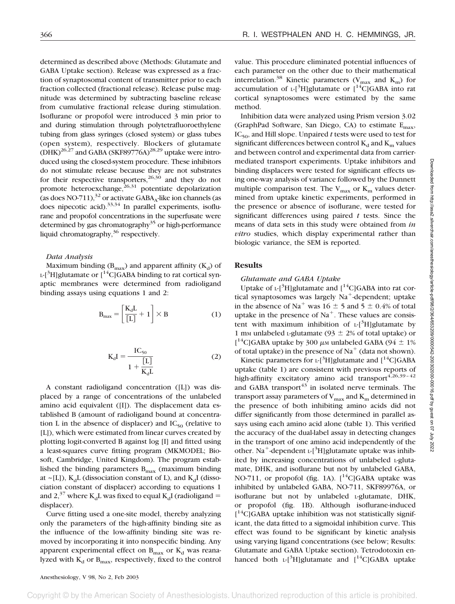determined as described above (Methods: Glutamate and GABA Uptake section). Release was expressed as a fraction of synaptosomal content of transmitter prior to each fraction collected (fractional release). Release pulse magnitude was determined by subtracting baseline release from cumulative fractional release during stimulation. Isoflurane or propofol were introduced 3 min prior to and during stimulation through polytetrafluoroethylene tubing from glass syringes (closed system) or glass tubes (open system), respectively. Blockers of glutamate  $(HK)^{26,27}$  and GABA (SKF89776A)<sup>28,29</sup> uptake were introduced using the closed-system procedure. These inhibitors do not stimulate release because they are not substrates for their respective transporters,  $26,30$  and they do not promote heteroexchange, $^{26,31}$  potentiate depolarization (as does NO-711), $32$  or activate GABA<sub>A</sub>-like ion channels (as does nipecotic acid). $33,34$  In parallel experiments, isoflurane and propofol concentrations in the superfusate were determined by gas chromatography<sup>35</sup> or high-performance liquid chromatography,<sup>36</sup> respectively.

#### *Data Analysis*

Maximum binding  $(B_{max})$  and apparent affinity  $(K_d)$  of  $L$ -[<sup>3</sup>H]glutamate or  $\left[ {}^{14}C \right]$ GABA binding to rat cortical synaptic membranes were determined from radioligand binding assays using equations 1 and 2:

$$
\mathbf{B}_{\text{max}} = \left[\frac{\mathbf{K}_{\text{d}}\mathbf{L}}{\left[\mathbf{L}\right]} + 1\right] \times \mathbf{B} \tag{1}
$$

$$
K_{d}I = \frac{IC_{50}}{1 + \frac{[L]}{K_{d}L}}
$$
 (2)

A constant radioligand concentration ([L]) was displaced by a range of concentrations of the unlabeled amino acid equivalent ([I]). The displacement data established B (amount of radioligand bound at concentration L in the absence of displacer) and  $IC_{50}$  (relative to [L]), which were estimated from linear curves created by plotting logit-converted B against log [I] and fitted using a least-squares curve fitting program (MKMODEL; Biosoft, Cambridge, United Kingdom). The program established the binding parameters  $B_{\text{max}}$  (maximum binding at ~[L]),  $K_dL$  (dissociation constant of L), and  $K_dI$  (dissociation constant of displacer) according to equations 1 and 2,<sup>37</sup> where K<sub>d</sub>L was fixed to equal K<sub>d</sub>I (radioligand = displacer).

Curve fitting used a one-site model, thereby analyzing only the parameters of the high-affinity binding site as the influence of the low-affinity binding site was removed by incorporating it into nonspecific binding. Any apparent experimental effect on  $B_{\text{max}}$  or  $K_d$  was reanalyzed with  $K_d$  or  $B_{\text{max}}$ , respectively, fixed to the control value. This procedure eliminated potential influences of each parameter on the other due to their mathematical interrelation.<sup>38</sup> Kinetic parameters ( $V_{\text{max}}$  and  $K_{\text{m}}$ ) for accumulation of  $L^{3}H$ ]glutamate or  $[14C]GABA$  into rat cortical synaptosomes were estimated by the same method.

Inhibition data were analyzed using Prism version 3.02 (GraphPad Software, San Diego, CA) to estimate  $E_{\text{max}}$ ,  $IC_{50}$ , and Hill slope. Unpaired *t* tests were used to test for significant differences between control  $K_d$  and  $K_m$  values and between control and experimental data from carriermediated transport experiments. Uptake inhibitors and binding displacers were tested for significant effects using one-way analysis of variance followed by the Dunnett multiple comparison test. The  $V_{\text{max}}$  or  $K_{\text{m}}$  values determined from uptake kinetic experiments, performed in the presence or absence of isoflurane, were tested for significant differences using paired *t* tests. Since the means of data sets in this study were obtained from *in vitro* studies, which display experimental rather than biologic variance, the SEM is reported.

## **Results**

*Glutamate and GABA Uptake*

Uptake of  $L^{-1}$ <sup>3</sup>H]glutamate and  $[$ <sup>14</sup>C]GABA into rat cortical synaptosomes was largely  $Na^+$ -dependent; uptake in the absence of Na<sup>+</sup> was 16  $\pm$  5 and 5  $\pm$  0.4% of total uptake in the presence of  $Na<sup>+</sup>$ . These values are consistent with maximum inhibition of  $L$ -[<sup>3</sup>H]glutamate by 1 mm unlabeled L-glutamate (93  $\pm$  2% of total uptake) or [<sup>14</sup>C]GABA uptake by 300  $\mu$ <sub>M</sub> unlabeled GABA (94  $\pm$  1%) of total uptake) in the presence of  $Na<sup>+</sup>$  (data not shown).

Kinetic parameters for  $L^{-1}$ <sup>3</sup>H]glutamate and  $[$ <sup>14</sup>C]GABA uptake (table 1) are consistent with previous reports of high-affinity excitatory amino acid transport $4,26,39-42$ and GABA transport<sup>43</sup> in isolated nerve terminals. The transport assay parameters of  $V_{max}$  and  $K_m$  determined in the presence of both inhibiting amino acids did not differ significantly from those determined in parallel assays using each amino acid alone (table 1). This verified the accuracy of the dual-label assay in detecting changes in the transport of one amino acid independently of the other. Na<sup>+</sup>-dependent L-[ ${}^{3}$ H]glutamate uptake was inhibited by increasing concentrations of unlabeled L-glutamate, DHK, and isoflurane but not by unlabeled GABA, NO-711, or propofol (fig. 1A).  $\int_0^{14}$ C|GABA uptake was inhibited by unlabeled GABA, NO-711, SKF89976A, or isoflurane but not by unlabeled L-glutamate, DHK, or propofol (fig. 1B). Although isoflurane-induced [<sup>14</sup>C]GABA uptake inhibition was not statistically significant, the data fitted to a sigmoidal inhibition curve. This effect was found to be significant by kinetic analysis using varying ligand concentrations (see below; Results: Glutamate and GABA Uptake section). Tetrodotoxin enhanced both  $L$ -[<sup>3</sup>H]glutamate and  $[$ <sup>14</sup>C]GABA uptake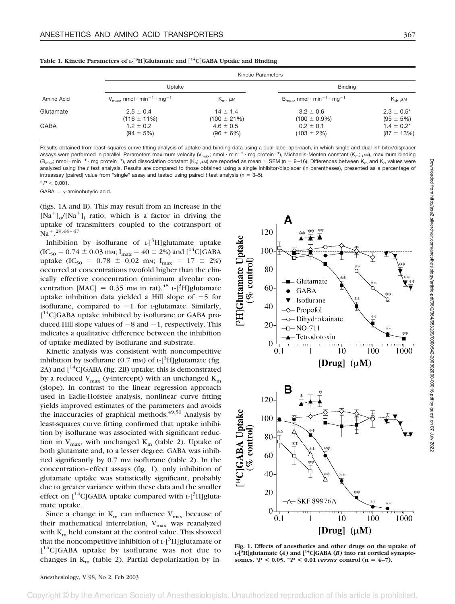| Amino Acid  | Kinetic Parameters                                             |                                  |                                                                |                                    |  |
|-------------|----------------------------------------------------------------|----------------------------------|----------------------------------------------------------------|------------------------------------|--|
|             | Uptake                                                         |                                  | <b>Binding</b>                                                 |                                    |  |
|             | $V_{\text{max}}$ , nmol · min <sup>-1</sup> · mg <sup>-1</sup> | $K_{\rm m}$ , $\mu$ M            | $B_{\text{max}}$ , nmol · min <sup>-1</sup> · mq <sup>-1</sup> | $K_{\rm cl}$ , $\mu$ M             |  |
| Glutamate   | $2.5 \pm 0.4$<br>$(116 \pm 11\%)$                              | $14 \pm 1.4$<br>$(100 \pm 21\%)$ | $3.2 \pm 0.6$<br>$(100 \pm 0.9\%)$                             | $2.3 \pm 0.5^*$<br>$(95 \pm 5\%)$  |  |
| <b>GABA</b> | $1.2 \pm 0.2$<br>$(94 \pm 5\%)$                                | $4.6 \pm 0.5$<br>$(96 \pm 6\%)$  | $0.2 \pm 0.1$<br>$(103 \pm 2\%)$                               | $1.4 \pm 0.2^*$<br>$(87 \pm 13\%)$ |  |

**Table 1. Kinetic Parameters of L- 3 HGlutamate and 14CGABA Uptake and Binding**

Results obtained from least-squares curve fitting analysis of uptake and binding data using a dual-label approach, in which single and dual inhibitor/displacer assays were performed in parallel. Parameters maximum velocity (V<sub>max</sub>; nmol · min<sup>-1</sup> · mg protein<sup>-1</sup>), Michaelis-Menten constant (K<sub>m</sub>; µм), maximum binding (B<sub>max</sub>; nmol · min<sup>-1</sup> · mg protein<sup>-1</sup>), and dissociation constant (K<sub>d</sub>; µM) are reported as mean  $\pm$  SEM (n = 9-16). Differences between K<sub>m</sub> and K<sub>d</sub> values were analyzed using the *t* test analysis. Results are compared to those obtained using a single inhibitor/displacer (in parentheses), presented as a percentage of intraassay (paired) value from "single" assay and tested using paired  $t$  test analysis ( $n = 3-5$ ).  $* P < 0.001$ .

GABA =  $\gamma$ -aminobutyric acid.

(figs. 1A and B). This may result from an increase in the  $[Na^+]_o/[Na^+]$ ; ratio, which is a factor in driving the uptake of transmitters coupled to the cotransport of  $Na^+$ .  $^{29,44-47}$ 

Inhibition by isoflurane of  $L$ -[<sup>3</sup>H]glutamate uptake  $(IC_{50} = 0.74 \pm 0.03$  mm;  $I_{max} = 40 \pm 2\%)$  and  $[^{14}C]GABA$ uptake (IC<sub>50</sub> = 0.78  $\pm$  0.02 mm; I<sub>max</sub> = 17  $\pm$  2%) occurred at concentrations twofold higher than the clinically effective concentration (minimum alveolar concentration [MAC] =  $0.35$  mm in rat).<sup>48</sup> L-[<sup>3</sup>H]glutamate uptake inhibition data yielded a Hill slope of  $-5$  for isoflurane, compared to  $-1$  for *L*-glutamate. Similarly, [<sup>14</sup>C]GABA uptake inhibited by isoflurane or GABA produced Hill slope values of  $-8$  and  $-1$ , respectively. This indicates a qualitative difference between the inhibition of uptake mediated by isoflurane and substrate.

Kinetic analysis was consistent with noncompetitive inhibition by isoflurane  $(0.7 \text{ mm})$  of  $L$ -[<sup>3</sup>H]glutamate (fig. 2A) and  $\left[\right]^{14}C$  GABA (fig. 2B) uptake; this is demonstrated by a reduced  $V_{\text{max}}$  (y-intercept) with an unchanged  $K_{\text{max}}$ (slope). In contrast to the linear regression approach used in Eadie-Hofstee analysis, nonlinear curve fitting yields improved estimates of the parameters and avoids the inaccuracies of graphical methods. $49,50$  Analysis by least-squares curve fitting confirmed that uptake inhibition by isoflurane was associated with significant reduction in  $V_{\text{max}}$ , with unchanged  $K_{\text{m}}$  (table 2). Uptake of both glutamate and, to a lesser degree, GABA was inhibited significantly by  $0.7$  mm isoflurane (table 2). In the concentration–effect assays (fig. 1), only inhibition of glutamate uptake was statistically significant, probably due to greater variance within these data and the smaller effect on  $[$ <sup>14</sup>C]GABA uptake compared with  $L$ - $[$ <sup>3</sup>H]glutamate uptake.

Since a change in  $K_m$  can influence  $V_{max}$  because of their mathematical interrelation,  $V_{\text{max}}$  was reanalyzed with  $K_m$  held constant at the control value. This showed that the noncompetitive inhibition of  $L$ -[<sup>3</sup>H]glutamate or [<sup>14</sup>C]GABA uptake by isoflurane was not due to changes in  $K<sub>m</sub>$  (table 2). Partial depolarization by in-



**Fig. 1. Effects of anesthetics and other drugs on the uptake of L-[3 H]glutamate (***A***) and [14C]GABA (***B***) into rat cortical synaptosomes.**  $^*P$  < 0.05,  $^{**}P$  < 0.01 *versus* control (n = 4–7).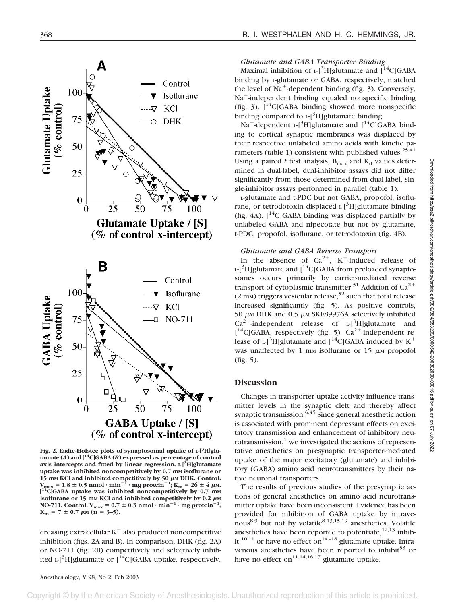

Fig. 2. Eadie-Hofstee plots of synaptosomal uptake of L-<sup>[3</sup>H]glu**tamate (***A***) and [14C]GABA (***B***) expressed as percentage of control axis intercepts and fitted by linear regression. L-[3 H]glutamate** uptake was inhibited noncompetitively by 0.7 mm isoflurane or 15 mm KCl and inhibited competitively by 50  $\mu$ m DHK. Control:<br>V<sub>max</sub> = 1.8 ± 0.5 nmol · min<sup>-1</sup> · mg protein<sup>-1</sup>; K<sub>m</sub> = 26 ± 4  $\mu$ m.<br>[<sup>14</sup>C]GABA uptake was inhibited noncompetitively by 0.7 mm **isoflurane or 15 mm** KCl and inhibited competitively by 0.2  $\mu$ M **NO-711.** Control:  $V_{\text{max}} = 0.7 \pm 0.3 \text{ nmol} \cdot \text{min}^{-1} \cdot \text{mg protein}^{-1}$ ;  $K_m = 7 \pm 0.7 \mu M \quad (n = 3-5).$ 

creasing extracellular  $K^+$  also produced noncompetitive inhibition (figs. 2A and B). In comparison, DHK (fig. 2A) or NO-711 (fig. 2B) competitively and selectively inhibited L-[<sup>3</sup>H]glutamate or  $[$ <sup>14</sup>C]GABA uptake, respectively.

# *Glutamate and GABA Transporter Binding*

Maximal inhibition of  $L$ -[<sup>3</sup>H]glutamate and  $\int_1^{14}C$ ]GABA binding by L-glutamate or GABA, respectively, matched the level of Na<sup>+</sup>-dependent binding (fig. 3). Conversely,  $Na<sup>+</sup>$ -independent binding equaled nonspecific binding (fig. 3).  $\int_1^{14}$ C|GABA binding showed more nonspecific binding compared to  $L^{3}H$ ]glutamate binding.

 $Na^+$ -dependent L-[<sup>3</sup>H]glutamate and  $[$ <sup>14</sup>C]GABA binding to cortical synaptic membranes was displaced by their respective unlabeled amino acids with kinetic parameters (table 1) consistent with published values.<sup>25,41</sup> Using a paired  $t$  test analysis,  $B_{\text{max}}$  and  $K_d$  values determined in dual-label, dual-inhibitor assays did not differ significantly from those determined from dual-label, single-inhibitor assays performed in parallel (table 1).

L-glutamate and t-PDC but not GABA, propofol, isoflurane, or tetrodotoxin displaced L-[<sup>3</sup>H]glutamate binding (fig. 4A).  $\int_1^{14}$ C|GABA binding was displaced partially by unlabeled GABA and nipecotate but not by glutamate, t-PDC, propofol, isoflurane, or tetrodotoxin (fig. 4B).

# *Glutamate and GABA Reverse Transport*

In the absence of  $Ca^{2+}$ , K<sup>+</sup>-induced release of  $L$ -[<sup>3</sup>H]glutamate and [<sup>14</sup>C]GABA from preloaded synaptosomes occurs primarily by carrier-mediated reverse transport of cytoplasmic transmitter.<sup>51</sup> Addition of  $Ca^{2+}$  $(2 \text{ mm})$  triggers vesicular release,<sup>52</sup> such that total release increased significantly (fig. 5). As positive controls, 50  $\mu$ M DHK and 0.5  $\mu$ M SKF89976A selectively inhibited  $Ca^{2+}$ -independent release of L-[<sup>3</sup>H]glutamate and  $[$ <sup>14</sup>C]GABA, respectively (fig. 5).  $Ca^{2+}$ -independent release of L-[<sup>3</sup>H]glutamate and [<sup>14</sup>C]GABA induced by  $K^+$ was unaffected by 1 mm isoflurane or 15  $\mu$ m propofol (fig. 5).

## **Discussion**

Changes in transporter uptake activity influence transmitter levels in the synaptic cleft and thereby affect synaptic transmission.  $6,45$  Since general anesthetic action is associated with prominent depressant effects on excitatory transmission and enhancement of inhibitory neurotransmission, $<sup>1</sup>$  we investigated the actions of represen-</sup> tative anesthetics on presynaptic transporter-mediated uptake of the major excitatory (glutamate) and inhibitory (GABA) amino acid neurotransmitters by their native neuronal transporters.

The results of previous studies of the presynaptic actions of general anesthetics on amino acid neurotransmitter uptake have been inconsistent. Evidence has been provided for inhibition of GABA uptake by intravenous<sup>8,9</sup> but not by volatile<sup>8,13,15,19</sup> anesthetics. Volatile anesthetics have been reported to potentiate,  $12,13$  inhibit,<sup>10,11</sup> or have no effect on<sup>14-18</sup> glutamate uptake. Intravenous anesthetics have been reported to inhibit<sup>53</sup> or have no effect on<sup>11,14,16,17</sup> glutamate uptake.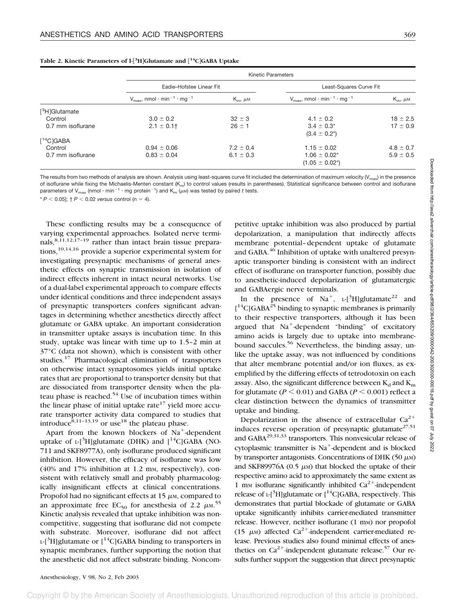|                                                    | <b>Kinetic Parameters</b>                                                  |                 |                                                                            |                 |
|----------------------------------------------------|----------------------------------------------------------------------------|-----------------|----------------------------------------------------------------------------|-----------------|
|                                                    | Eadie-Hofstee Linear Fit                                                   |                 | Least-Squares Curve Fit                                                    |                 |
|                                                    | $V_{\text{max}}$ , nmol $\cdot$ min <sup>-1</sup> $\cdot$ mg <sup>-1</sup> | $K_m$ , $\mu$ M | $V_{\text{max}}$ , nmol $\cdot$ min <sup>-1</sup> $\cdot$ mg <sup>-1</sup> | $K_m$ , $\mu$ M |
| [ <sup>3</sup> H]Glutamate                         |                                                                            |                 |                                                                            |                 |
| Control                                            | $3.0 \pm 0.2$                                                              | $32 \pm 3$      | $4.1 \pm 0.2$                                                              | $18 \pm 2.5$    |
| 0.7 mm isoflurane                                  | $2.1 \pm 0.1$                                                              | $26 \pm 1$      | $3.4 \pm 0.3^*$<br>$(3.4 \pm 0.2^*)$                                       | $17 \pm 0.9$    |
| $\lceil$ <sup>14</sup> C <sub></sub> $\lceil$ GABA |                                                                            |                 |                                                                            |                 |
| Control                                            | $0.94 \pm 0.06$                                                            | $7.2 \pm 0.4$   | $1.15 \pm 0.02$                                                            | $4.8 \pm 0.7$   |
| 0.7 mm isoflurane                                  | $0.83 \pm 0.04$                                                            | $6.1 \pm 0.3$   | $1.06 \pm 0.02^*$<br>$(1.05 \pm 0.02^*)$                                   | $5.9 \pm 0.5$   |

#### **Table 2. Kinetic Parameters of l- 3 HGlutamate and 14CGABA Uptake**

The results from two methods of analysis are shown. Analysis using least-squares curve fit included the determination of maximum velocity ( $V_{\text{max}}$ ) in the presence of isoflurane while fixing the Michaelis-Menten constant (K<sub>m</sub>) to control values (results in parentheses). Statistical significance between control and isoflurane parameters of V<sub>max</sub> (nmol·min<sup>-1</sup>·mg protein<sup>-1</sup>) and K<sub>m</sub> ( $\mu$ м) was tested by paired t tests.

 $* P < 0.05$ ;  $\uparrow P < 0.02$  *versus* control (n = 4).

These conflicting results may be a consequence of varying experimental approaches. Isolated nerve terminals,  $8,11,12,\overline{17-19}$  rather than intact brain tissue preparations,  $10,14,16$  provide a superior experimental system for investigating presynaptic mechanisms of general anesthetic effects on synaptic transmission in isolation of indirect effects inherent in intact neural networks. Use of a dual-label experimental approach to compare effects under identical conditions and three independent assays of presynaptic transporters confers significant advantages in determining whether anesthetics directly affect glutamate or GABA uptake. An important consideration in transmitter uptake assays is incubation time. In this study, uptake was linear with time up to 1.5–2 min at 37°C (data not shown), which is consistent with other studies.17 Pharmacological elimination of transporters on otherwise intact synaptosomes yields initial uptake rates that are proportional to transporter density but that are dissociated from transporter density when the plateau phase is reached. $54$  Use of incubation times within the linear phase of initial uptake rate<sup>17</sup> yield more accurate transporter activity data compared to studies that introduce<sup>8,11-13,19</sup> or use<sup>18</sup> the plateau phase.

Apart from the known blockers of  $Na<sup>+</sup>$ -dependent uptake of  $L$ <sup>3</sup>H]glutamate (DHK) and  $\int$ <sup>14</sup>C]GABA (NO-711 and SKF8977A), only isoflurane produced significant inhibition. However, the efficacy of isoflurane was low  $(40\%$  and  $17\%$  inhibition at 1.2 mm, respectively), consistent with relatively small and probably pharmacologically insignificant effects at clinical concentrations. Propofol had no significant effects at  $15 \mu$ M, compared to an approximate free EC<sub>50</sub> for anesthesia of 2.2  $\mu$ <sub>M</sub>.<sup>55</sup> Kinetic analysis revealed that uptake inhibition was noncompetitive, suggesting that isoflurane did not compete with substrate. Moreover, isoflurane did not affect  $L$ -[<sup>3</sup>H]glutamate or [<sup>14</sup>C]GABA binding to transporters in synaptic membranes, further supporting the notion that the anesthetic did not affect substrate binding. Noncompetitive uptake inhibition was also produced by partial depolarization, a manipulation that indirectly affects membrane potential–dependent uptake of glutamate and GABA.<sup>46</sup> Inhibition of uptake with unaltered presynaptic transporter binding is consistent with an indirect effect of isoflurane on transporter function, possibly due to anesthetic-induced depolarization of glutamatergic and GABAergic nerve terminals.

In the presence of Na<sup>+</sup>, L-[<sup>3</sup>H]glutamate<sup>22</sup> and  $[$ <sup>14</sup>C]GABA<sup>25</sup> binding to synaptic membranes is primarily to their respective transporters, although it has been argued that  $Na^+$ -dependent "binding" of excitatory amino acids is largely due to uptake into membranebound saccules.<sup>56</sup> Nevertheless, the binding assay, unlike the uptake assay, was not influenced by conditions that alter membrane potential and/or ion fluxes, as exemplified by the differing effects of tetrodotoxin on each assay. Also, the significant difference between  $K_d$  and  $K_m$ for glutamate ( $P \le 0.01$ ) and GABA ( $P \le 0.001$ ) reflect a clear distinction between the dynamics of transmitter uptake and binding.

Depolarization in the absence of extracellular  $Ca^{2+}$ induces reverse operation of presynaptic glutamate<sup>27,51</sup> and GABA<sup>29,31,33</sup> transporters. This nonvesicular release of cytoplasmic transmitter is  $Na<sup>+</sup>$ -dependent and is blocked by transporter antagonists. Concentrations of DHK  $(50 \mu)$ and SKF89976A  $(0.5 \mu)$  that blocked the uptake of their respective amino acid to approximately the same extent as 1 mm isoflurane significantly inhibited  $Ca^{2+}$ -independent release of  $L$ -[<sup>3</sup>H]glutamate or  $[$ <sup>14</sup>C]GABA, respectively. This demonstrates that partial blockade of glutamate or GABA uptake significantly inhibits carrier-mediated transmitter release. However, neither isoflurane (1 mm) nor propofol (15  $\mu$ M) affected Ca<sup>2+</sup>-independent carrier-mediated release. Previous studies also found minimal effects of anesthetics on  $Ca^{2+}$ -independent glutamate release.<sup>57</sup> Our results further support the suggestion that direct presynaptic Downloaded from http://asa2.silverchair.com/anesthesiology/article-pdf98/2/364/653209/0000542-200302000-00016.pdf by guest on 07 July 2022 Downloaded from http://asa2.silverchair.com/anesthesiology/article-pdf/98/2/364/653209/0000542-200302000-00016.pdf by guest on 07 July 2022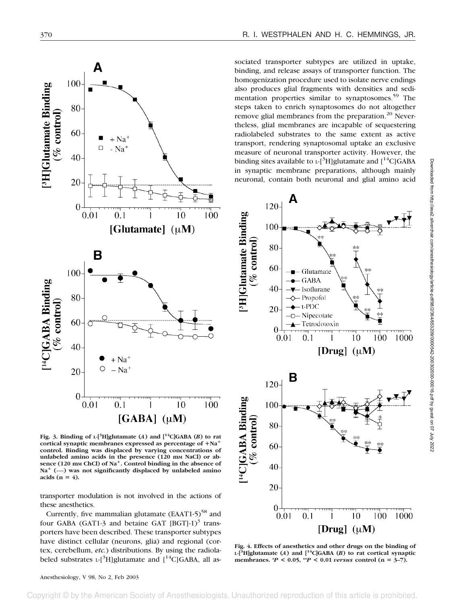

Fig. 3. Binding of  $L$ <sup>[3</sup>H]glutamate (*A*) and  $\left[$ <sup>14</sup>C]GABA (*B*) to rat cortical synaptic membranes expressed as percentage of  $+Na^+$ **control. Binding was displaced by varying concentrations of** unlabeled amino acids in the presence (120 mm NaCl) or ab**sence (120 mM ChCl) of Na**-**. Control binding in the absence of Na**- **(----) was not significantly displaced by unlabeled amino** acids  $(n = 4)$ .

transporter modulation is not involved in the actions of these anesthetics.

Currently, five mammalian glutamate  $(EAAT1-5)^{58}$  and four GABA (GAT1-3 and betaine GAT  $[BGT]-1$ )<sup>3</sup> transporters have been described. These transporter subtypes have distinct cellular (neurons, glia) and regional (cortex, cerebellum, *etc.*) distributions. By using the radiolabeled substrates  $L^{3}H$ ]glutamate and  $[14C]GABA$ , all as-

sociated transporter subtypes are utilized in uptake, binding, and release assays of transporter function. The homogenization procedure used to isolate nerve endings also produces glial fragments with densities and sedimentation properties similar to synaptosomes.<sup>59</sup> The steps taken to enrich synaptosomes do not altogether remove glial membranes from the preparation.<sup>20</sup> Nevertheless, glial membranes are incapable of sequestering radiolabeled substrates to the same extent as active transport, rendering synaptosomal uptake an exclusive measure of neuronal transporter activity. However, the binding sites available to  $L^{-3}H$ ]glutamate and  $[14C]GABA$ in synaptic membrane preparations, although mainly neuronal, contain both neuronal and glial amino acid



**Fig. 4. Effects of anesthetics and other drugs on the binding of L-[3 H]glutamate (***A***) and [14C]GABA (***B***) to rat cortical synaptic** membranes.  ${}^*P$  < 0.05,  ${}^*P$  < 0.01 *versus* control (n = 3–7).

Anesthesiology, V 98, No 2, Feb 2003

ociety of Anesthesiologists nauthorized reproduction of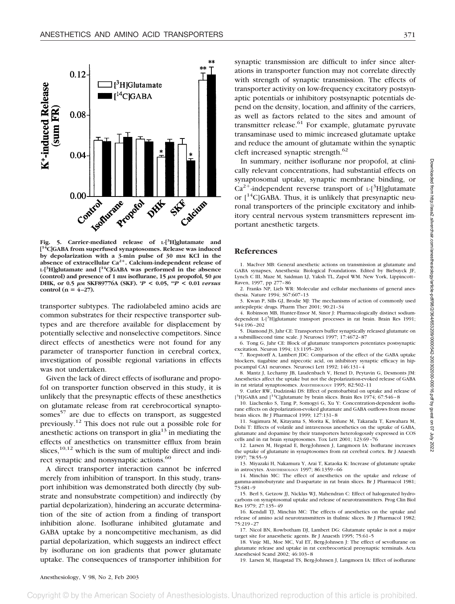

**Fig. 5. Carrier-mediated release of L-[3 H]glutamate and [ 14C]GABA from superfused synaptosomes. Release was induced by depolarization with a 3-min pulse of 30 mM KCl in the absence of extracellular Ca2**-**. Calcium-independent release of L-[3 H]glutamate and [14C]GABA was performed in the absence** (control) and presence of 1 mm isoflurane,  $15 \mu$ m propofol,  $50 \mu$ m **DHK, or 0.5 M SKF89776A (SKF). \****P* **< 0.05, \*\****P* **< 0.01** *versus* **control**  $(n = 4-27)$ .

transporter subtypes. The radiolabeled amino acids are common substrates for their respective transporter subtypes and are therefore available for displacement by potentially selective and nonselective competitors. Since direct effects of anesthetics were not found for any parameter of transporter function in cerebral cortex, investigation of possible regional variations in effects was not undertaken.

Given the lack of direct effects of isoflurane and propofol on transporter function observed in this study, it is unlikely that the presynaptic effects of these anesthetics on glutamate release from rat cerebrocortical synaptosomes<sup>57</sup> are due to effects on transport, as suggested previously.12 This does not rule out a possible role for anesthetic actions on transport in glia<sup>13</sup> in mediating the effects of anesthetics on transmitter efflux from brain slices, $10,12$  which is the sum of multiple direct and indirect synaptic and nonsynaptic actions.<sup>60</sup>

A direct transporter interaction cannot be inferred merely from inhibition of transport. In this study, transport inhibition was demonstrated both directly (by substrate and nonsubstrate competition) and indirectly (by partial depolarization), hindering an accurate determination of the site of action from a finding of transport inhibition alone. Isoflurane inhibited glutamate and GABA uptake by a noncompetitive mechanism, as did partial depolarization, which suggests an indirect effect by isoflurane on ion gradients that power glutamate uptake. The consequences of transporter inhibition for

synaptic transmission are difficult to infer since alterations in transporter function may not correlate directly with strength of synaptic transmission. The effects of transporter activity on low-frequency excitatory postsynaptic potentials or inhibitory postsynaptic potentials depend on the density, location, and affinity of the carriers, as well as factors related to the sites and amount of transmitter release. $61$  For example, glutamate pyruvate transaminase used to mimic increased glutamate uptake and reduce the amount of glutamate within the synaptic cleft increased synaptic strength.<sup>62</sup>

In summary, neither isoflurane nor propofol, at clinically relevant concentrations, had substantial effects on synaptosomal uptake, synaptic membrane binding, or  $Ca^{2+}$ -independent reverse transport of L-[<sup>3</sup>H]glutamate or  $[14C]GABA$ . Thus, it is unlikely that presynaptic neuronal transporters of the principle excitatory and inhibitory central nervous system transmitters represent important anesthetic targets.

#### **References**

1. MacIver MB: General anesthetic actions on transmission at glutamate and GABA synapses, Anesthesia: Biological Foundations. Edited by Biebuyck JF, Lynch C III, Maze M, Saidman LJ, Yaksh TL, Zapol WM. New York, Lippincott– Raven, 1997, pp 277–86

2. Franks NP, Lieb WR: Molecular and cellular mechanisms of general anesthesia. Nature 1994; 367:607–13

3. Kwan P, Sills GJ, Brodie MJ: The mechanisms of action of commonly used antiepileptic drugs. Pharm Ther 2001; 90:21–34

4. Robinson MB, Hunter-Ensor M, Sinor J: Pharmacologically distinct sodiumdependent L-[<sup>3</sup>H]glutamate transport processes in rat brain. Brain Res 1991; 544:196–202

5. Diamond JS, Jahr CE: Transporters buffer synaptically released glutamate on a submillisecond time scale. J Neurosci 1997; 17:4672–87

6. Tong G, Jahr CE: Block of glutamate transporters potentiates postsynaptic excitation. Neuron 1994; 13:1195–203

7. Roepstorff A, Lambert JDC: Comparison of the effect of the GABA uptake blockers, tiagabine and nipecotic acid, on inhibitory synaptic efficacy in hippocampal CA1 neurones. Neurosci Lett 1992; 146:131–4

8. Mantz J, Lecharny JB, Laudenbach V, Henel D, Peytavin G, Desmonts JM: Anesthetics affect the uptake but not the depolarization-evoked release of GABA in rat striatal synaptosomes. ANESTHESIOLOGY 1995; 82:502–11

9. Cutler RW, Dudzinski DS: Effect of pentobarbital on uptake and release of [<sup>3</sup>H]GABA and [<sup>14</sup>C]glutamate by brain slices. Brain Res 1974; 67:546 - 8

10. Liachenko S, Tang P, Somogyi G, Xu Y: Concentration-dependent isoflurane effects on depolarization-evoked glutamate and GABA outflows from mouse brain slices. Br J Pharmacol 1999; 127:131–8

11. Sugimura M, Kitayama S, Morita K, Irifune M, Takarada T, Kawahara M, Dohi T: Effects of volatile and intravenous anesthetics on the uptake of GABA, glutamate and dopamine by their transporters heterologously expressed in COS cells and in rat brain synaptosomes. Tox Lett 2001; 123:69–76

12. Larsen M, Hegstad E, Berg-Johnsen J, Langmoen IA: Isoflurane increases the uptake of glutamate in synaptosomes from rat cerebral cortex. Br J Anaesth 1997; 78:55–9

13. Miyazaki H, Nakamura Y, Arai T, Kataoka K: Increase of glutamate uptake in astrocytes. ANESTHESIOLOGY 1997; 86:1359–66

14. Minchin MC: The effect of anesthetics on the uptake and release of gamma-aminobutyrate and D-aspartate in rat brain slices. Br J Pharmacol 1981; 73:681–9

15. Berl S, Getzow JJ, Nicklas WJ, Mahendran C: Effect of halogenated hydrocarbons on synaptosomal uptake and release of neurotransmitters. Prog Clin Biol Res 1979; 27:135–49

16. Kendall TJ, Minchin MC: The effects of anesthetics on the uptake and release of amino acid neurotransmitters in thalmic slices. Br J Pharmacol 1982; 75:219–27

17. Nicol BN, Rowbotham DJ, Lambert DG: Glutamate uptake is not a major target site for anaesthetic agents. Br J Anaesth 1995; 75:61–5

18. Vinje ML, Moe MC, Val ET, Berg-Johnsen J: The effect of sevoflurane on glutamate release and uptake in rat cerebrocortical presynaptic terminals. Acta Anesthesiol Scand 2002; 46:103–8

19. Larsen M, Haugstad TS, Berg-Johnsen J, Langmoen IA: Effect of isoflurane